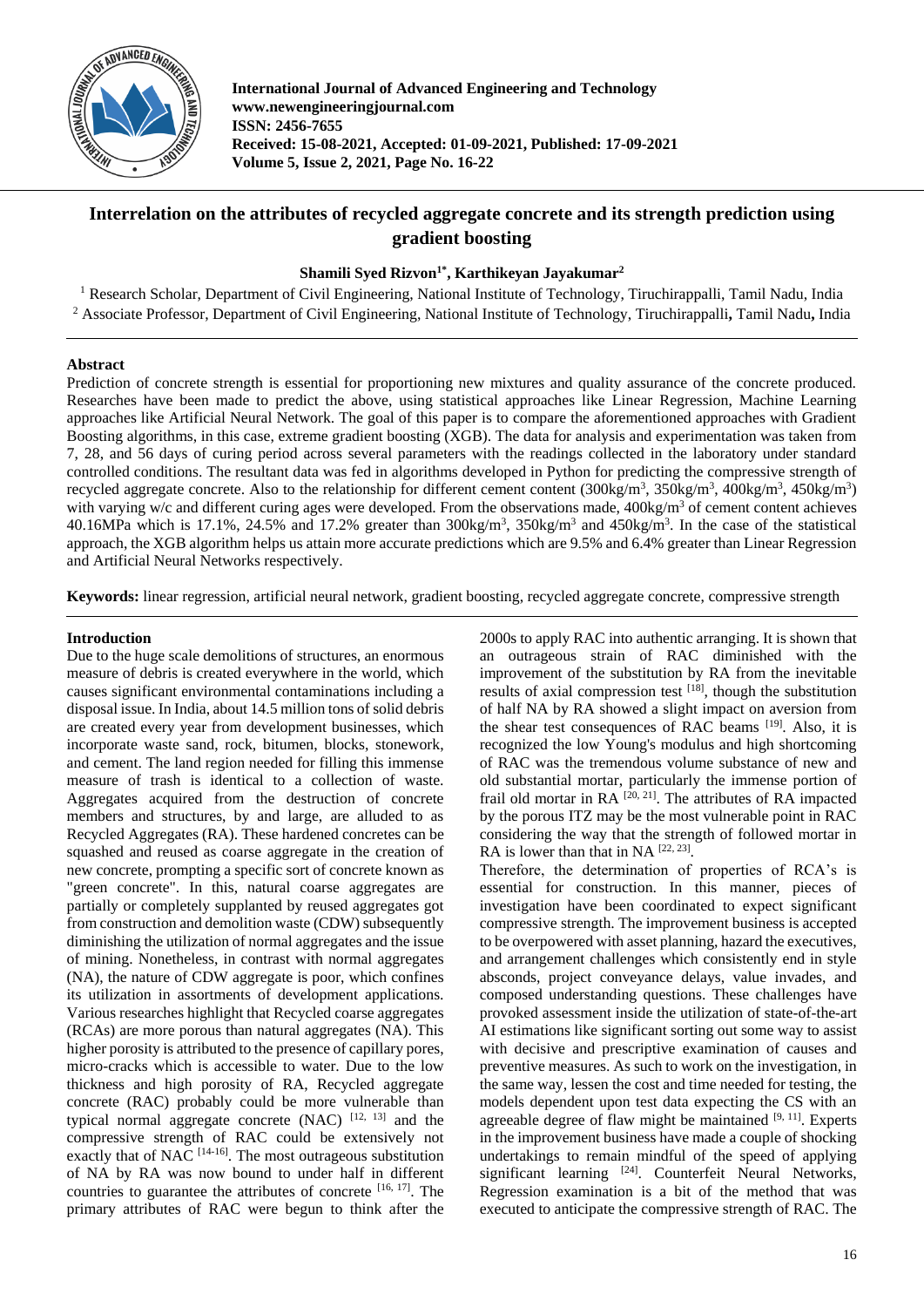

**International Journal of Advanced Engineering and Technology www.newengineeringjournal.com ISSN: 2456-7655 Received: 15-08-2021, Accepted: 01-09-2021, Published: 17-09-2021 Volume 5, Issue 2, 2021, Page No. 16-22**

# **Interrelation on the attributes of recycled aggregate concrete and its strength prediction using gradient boosting**

## **Shamili Syed Rizvon1\* , Karthikeyan Jayakumar<sup>2</sup>**

<sup>1</sup> Research Scholar, Department of Civil Engineering, National Institute of Technology, Tiruchirappalli, Tamil Nadu, India <sup>2</sup> Associate Professor, Department of Civil Engineering, National Institute of Technology, Tiruchirappalli**,** Tamil Nadu**,** India

## **Abstract**

Prediction of concrete strength is essential for proportioning new mixtures and quality assurance of the concrete produced. Researches have been made to predict the above, using statistical approaches like Linear Regression, Machine Learning approaches like Artificial Neural Network. The goal of this paper is to compare the aforementioned approaches with Gradient Boosting algorithms, in this case, extreme gradient boosting (XGB). The data for analysis and experimentation was taken from 7, 28, and 56 days of curing period across several parameters with the readings collected in the laboratory under standard controlled conditions. The resultant data was fed in algorithms developed in Python for predicting the compressive strength of recycled aggregate concrete. Also to the relationship for different cement content  $(300\text{kg/m}^3, 350\text{kg/m}^3, 400\text{kg/m}^3, 450\text{kg/m}^3)$ with varying w/c and different curing ages were developed. From the observations made, 400kg/m<sup>3</sup> of cement content achieves 40.16MPa which is 17.1%, 24.5% and 17.2% greater than  $300\text{kg/m}^3$ ,  $350\text{kg/m}^3$  and  $450\text{kg/m}^3$ . In the case of the statistical approach, the XGB algorithm helps us attain more accurate predictions which are 9.5% and 6.4% greater than Linear Regression and Artificial Neural Networks respectively.

**Keywords:** linear regression, artificial neural network, gradient boosting, recycled aggregate concrete, compressive strength

## **Introduction**

Due to the huge scale demolitions of structures, an enormous measure of debris is created everywhere in the world, which causes significant environmental contaminations including a disposal issue. In India, about 14.5 million tons of solid debris are created every year from development businesses, which incorporate waste sand, rock, bitumen, blocks, stonework, and cement. The land region needed for filling this immense measure of trash is identical to a collection of waste. Aggregates acquired from the destruction of concrete members and structures, by and large, are alluded to as Recycled Aggregates (RA). These hardened concretes can be squashed and reused as coarse aggregate in the creation of new concrete, prompting a specific sort of concrete known as "green concrete". In this, natural coarse aggregates are partially or completely supplanted by reused aggregates got from construction and demolition waste (CDW) subsequently diminishing the utilization of normal aggregates and the issue of mining. Nonetheless, in contrast with normal aggregates (NA), the nature of CDW aggregate is poor, which confines its utilization in assortments of development applications. Various researches highlight that Recycled coarse aggregates (RCAs) are more porous than natural aggregates (NA). This higher porosity is attributed to the presence of capillary pores, micro-cracks which is accessible to water. Due to the low thickness and high porosity of RA, Recycled aggregate concrete (RAC) probably could be more vulnerable than typical normal aggregate concrete  $(NAC)$ <sup>[12, 13]</sup> and the compressive strength of RAC could be extensively not exactly that of NAC  $[14-16]$ . The most outrageous substitution of NA by RA was now bound to under half in different countries to guarantee the attributes of concrete [16, 17]. The primary attributes of RAC were begun to think after the

2000s to apply RAC into authentic arranging. It is shown that an outrageous strain of RAC diminished with the improvement of the substitution by RA from the inevitable results of axial compression test  $[18]$ , though the substitution of half NA by RA showed a slight impact on aversion from the shear test consequences of RAC beams [19]. Also, it is recognized the low Young's modulus and high shortcoming of RAC was the tremendous volume substance of new and old substantial mortar, particularly the immense portion of frail old mortar in RA  $[20, 21]$ . The attributes of RA impacted by the porous ITZ may be the most vulnerable point in RAC considering the way that the strength of followed mortar in RA is lower than that in NA  $[22, 23]$ .

Therefore, the determination of properties of RCA's is essential for construction. In this manner, pieces of investigation have been coordinated to expect significant compressive strength. The improvement business is accepted to be overpowered with asset planning, hazard the executives, and arrangement challenges which consistently end in style absconds, project conveyance delays, value invades, and composed understanding questions. These challenges have provoked assessment inside the utilization of state-of-the-art AI estimations like significant sorting out some way to assist with decisive and prescriptive examination of causes and preventive measures. As such to work on the investigation, in the same way, lessen the cost and time needed for testing, the models dependent upon test data expecting the CS with an agreeable degree of flaw might be maintained  $[9, 11]$ . Experts in the improvement business have made a couple of shocking undertakings to remain mindful of the speed of applying significant learning <sup>[24]</sup>. Counterfeit Neural Networks, Regression examination is a bit of the method that was executed to anticipate the compressive strength of RAC. The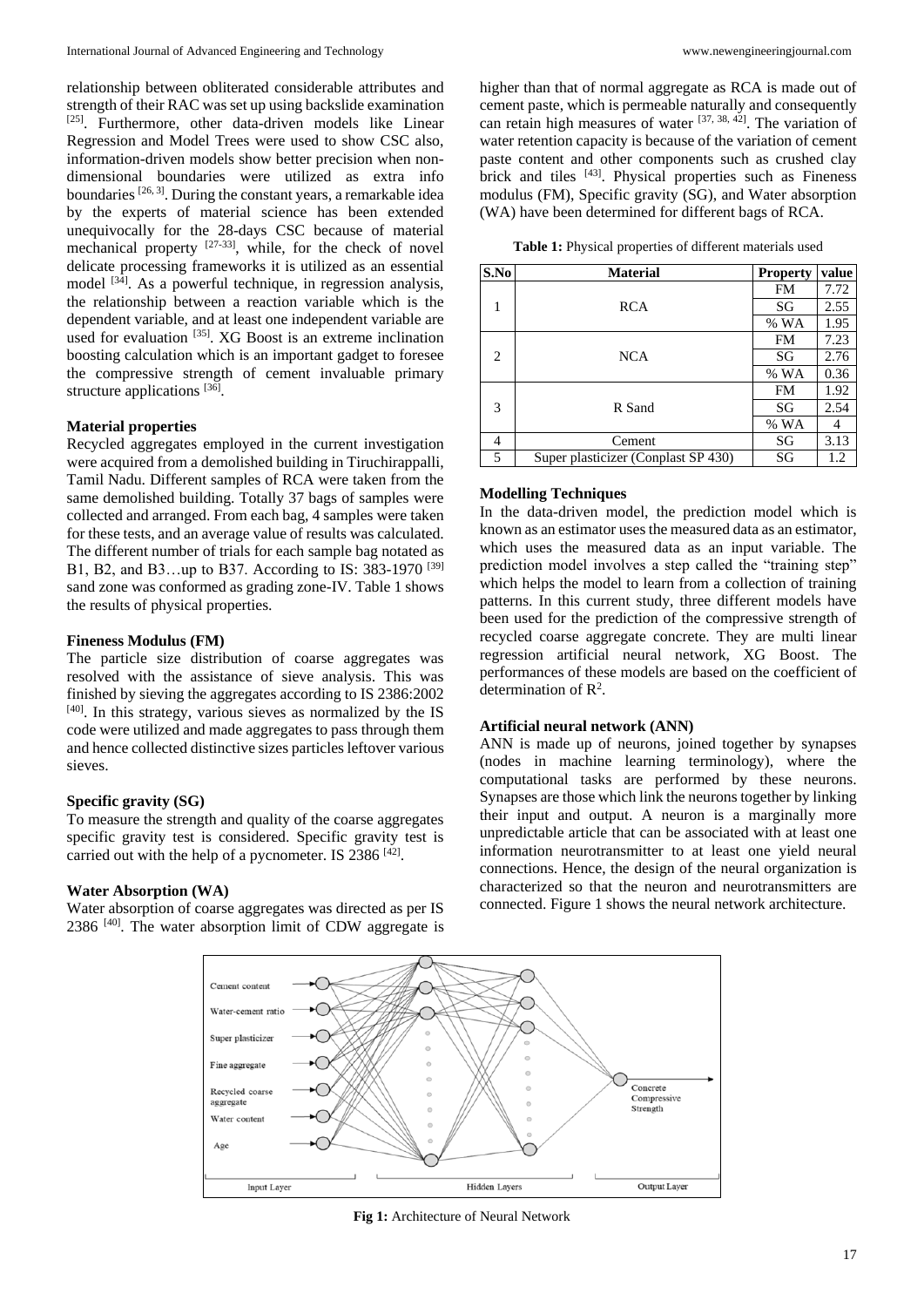relationship between obliterated considerable attributes and strength of their RAC was set up using backslide examination [25]. Furthermore, other data-driven models like Linear Regression and Model Trees were used to show CSC also, information-driven models show better precision when nondimensional boundaries were utilized as extra info boundaries [26, 3]. During the constant years, a remarkable idea by the experts of material science has been extended unequivocally for the 28-days CSC because of material mechanical property  $[27-33]$ , while, for the check of novel delicate processing frameworks it is utilized as an essential model  $[34]$ . As a powerful technique, in regression analysis, the relationship between a reaction variable which is the dependent variable, and at least one independent variable are used for evaluation <sup>[35]</sup>. XG Boost is an extreme inclination boosting calculation which is an important gadget to foresee the compressive strength of cement invaluable primary structure applications [36].

### **Material properties**

Recycled aggregates employed in the current investigation were acquired from a demolished building in Tiruchirappalli, Tamil Nadu. Different samples of RCA were taken from the same demolished building. Totally 37 bags of samples were collected and arranged. From each bag, 4 samples were taken for these tests, and an average value of results was calculated. The different number of trials for each sample bag notated as B1, B2, and B3...up to B37. According to IS: 383-1970<sup>[39]</sup> sand zone was conformed as grading zone-IV. Table 1 shows the results of physical properties.

### **Fineness Modulus (FM)**

The particle size distribution of coarse aggregates was resolved with the assistance of sieve analysis. This was finished by sieving the aggregates according to IS 2386:2002  $[40]$ . In this strategy, various sieves as normalized by the IS code were utilized and made aggregates to pass through them and hence collected distinctive sizes particles leftover various sieves.

### **Specific gravity (SG)**

To measure the strength and quality of the coarse aggregates specific gravity test is considered. Specific gravity test is carried out with the help of a pycnometer. IS  $2386$  <sup>[42]</sup>.

### **Water Absorption (WA)**

Water absorption of coarse aggregates was directed as per IS  $2386$  [40]. The water absorption limit of CDW aggregate is higher than that of normal aggregate as RCA is made out of cement paste, which is permeable naturally and consequently can retain high measures of water [37, 38, 42]. The variation of water retention capacity is because of the variation of cement paste content and other components such as crushed clay brick and tiles [43]. Physical properties such as Fineness modulus (FM), Specific gravity (SG), and Water absorption (WA) have been determined for different bags of RCA.

| S.No | <b>Material</b>                     | <b>Property</b> | value                                                             |
|------|-------------------------------------|-----------------|-------------------------------------------------------------------|
|      |                                     | FM              | 7.72                                                              |
| 1    | <b>RCA</b>                          | SG              | 2.55<br>1.95<br>7.23<br>2.76<br>0.36<br>1.92<br>2.54<br>4<br>3.13 |
|      |                                     | $%$ WA          |                                                                   |
| 2    |                                     | <b>FM</b>       |                                                                   |
|      | <b>NCA</b>                          | SG              |                                                                   |
|      |                                     | $%$ WA          |                                                                   |
| 3    |                                     | <b>FM</b>       |                                                                   |
|      | R Sand                              | SG              |                                                                   |
|      |                                     | $%$ WA          |                                                                   |
| 4    | Cement                              | SG              |                                                                   |
| 5    | Super plasticizer (Conplast SP 430) | SG              | 1.2                                                               |

### **Modelling Techniques**

In the data-driven model, the prediction model which is known as an estimator uses the measured data as an estimator, which uses the measured data as an input variable. The prediction model involves a step called the "training step" which helps the model to learn from a collection of training patterns. In this current study, three different models have been used for the prediction of the compressive strength of recycled coarse aggregate concrete. They are multi linear regression artificial neural network, XG Boost. The performances of these models are based on the coefficient of determination of R<sup>2</sup>.

### **Artificial neural network (ANN)**

ANN is made up of neurons, joined together by synapses (nodes in machine learning terminology), where the computational tasks are performed by these neurons. Synapses are those which link the neurons together by linking their input and output. A neuron is a marginally more unpredictable article that can be associated with at least one information neurotransmitter to at least one yield neural connections. Hence, the design of the neural organization is characterized so that the neuron and neurotransmitters are connected. Figure 1 shows the neural network architecture.



**Fig 1:** Architecture of Neural Network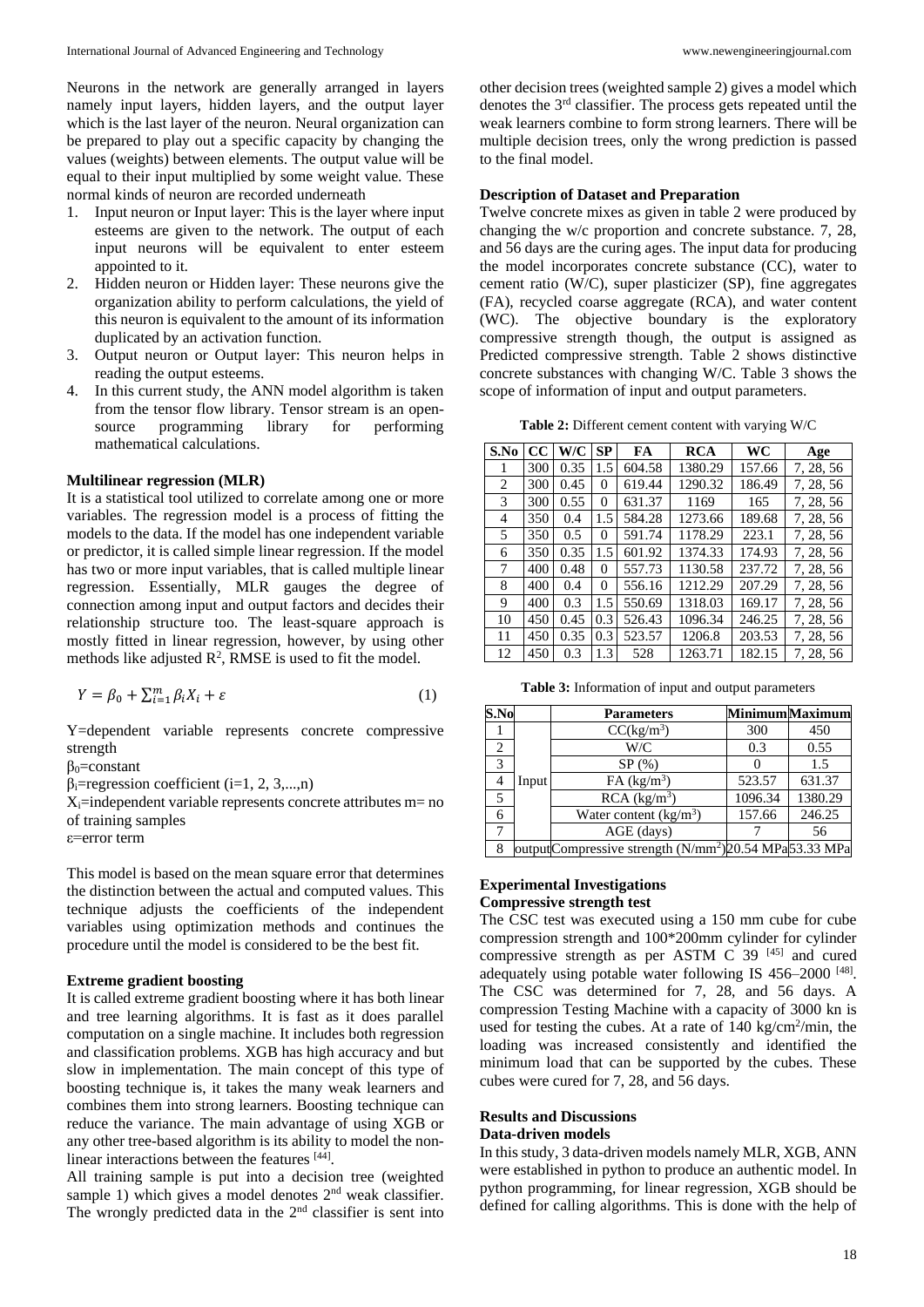Neurons in the network are generally arranged in layers namely input layers, hidden layers, and the output layer which is the last layer of the neuron. Neural organization can be prepared to play out a specific capacity by changing the values (weights) between elements. The output value will be equal to their input multiplied by some weight value. These normal kinds of neuron are recorded underneath

- 1. Input neuron or Input layer: This is the layer where input esteems are given to the network. The output of each input neurons will be equivalent to enter esteem appointed to it.
- 2. Hidden neuron or Hidden layer: These neurons give the organization ability to perform calculations, the yield of this neuron is equivalent to the amount of its information duplicated by an activation function.
- 3. Output neuron or Output layer: This neuron helps in reading the output esteems.
- 4. In this current study, the ANN model algorithm is taken from the tensor flow library. Tensor stream is an opensource programming library for performing mathematical calculations.

#### **Multilinear regression (MLR)**

It is a statistical tool utilized to correlate among one or more variables. The regression model is a process of fitting the models to the data. If the model has one independent variable or predictor, it is called simple linear regression. If the model has two or more input variables, that is called multiple linear regression. Essentially, MLR gauges the degree of connection among input and output factors and decides their relationship structure too. The least-square approach is mostly fitted in linear regression, however, by using other methods like adjusted  $\mathbb{R}^2$ , RMSE is used to fit the model.

$$
Y = \beta_0 + \sum_{i=1}^{m} \beta_i X_i + \varepsilon \tag{1}
$$

Y=dependent variable represents concrete compressive strength

 $\beta_0$ =constant

 $\beta_i$ =regression coefficient (i=1, 2, 3,...,n)

 $X_i$ =independent variable represents concrete attributes m= no of training samples

ε=error term

This model is based on the mean square error that determines the distinction between the actual and computed values. This technique adjusts the coefficients of the independent variables using optimization methods and continues the procedure until the model is considered to be the best fit.

### **Extreme gradient boosting**

It is called extreme gradient boosting where it has both linear and tree learning algorithms. It is fast as it does parallel computation on a single machine. It includes both regression and classification problems. XGB has high accuracy and but slow in implementation. The main concept of this type of boosting technique is, it takes the many weak learners and combines them into strong learners. Boosting technique can reduce the variance. The main advantage of using XGB or any other tree-based algorithm is its ability to model the nonlinear interactions between the features [44].

All training sample is put into a decision tree (weighted sample 1) which gives a model denotes  $2<sup>nd</sup>$  weak classifier. The wrongly predicted data in the  $2<sup>nd</sup>$  classifier is sent into

other decision trees (weighted sample 2) gives a model which denotes the 3rd classifier. The process gets repeated until the weak learners combine to form strong learners. There will be multiple decision trees, only the wrong prediction is passed to the final model.

#### **Description of Dataset and Preparation**

Twelve concrete mixes as given in table 2 were produced by changing the w/c proportion and concrete substance. 7, 28, and 56 days are the curing ages. The input data for producing the model incorporates concrete substance (CC), water to cement ratio (W/C), super plasticizer (SP), fine aggregates (FA), recycled coarse aggregate (RCA), and water content (WC). The objective boundary is the exploratory compressive strength though, the output is assigned as Predicted compressive strength. Table 2 shows distinctive concrete substances with changing W/C. Table 3 shows the scope of information of input and output parameters.

**Table 2:** Different cement content with varying W/C

| S.No | CC. | W/C  | SP  | FA     | RCA     | WC     | Age       |
|------|-----|------|-----|--------|---------|--------|-----------|
| 1    | 300 | 0.35 | 1.5 | 604.58 | 1380.29 | 157.66 | 7, 28, 56 |
| 2    | 300 | 0.45 | 0   | 619.44 | 1290.32 | 186.49 | 7, 28, 56 |
| 3    | 300 | 0.55 | 0   | 631.37 | 1169    | 165    | 7, 28, 56 |
| 4    | 350 | 0.4  | 1.5 | 584.28 | 1273.66 | 189.68 | 7, 28, 56 |
| 5    | 350 | 0.5  | 0   | 591.74 | 1178.29 | 223.1  | 7, 28, 56 |
| 6    | 350 | 0.35 | 1.5 | 601.92 | 1374.33 | 174.93 | 7, 28, 56 |
| 7    | 400 | 0.48 | 0   | 557.73 | 1130.58 | 237.72 | 7, 28, 56 |
| 8    | 400 | 0.4  | 0   | 556.16 | 1212.29 | 207.29 | 7, 28, 56 |
| 9    | 400 | 0.3  | 1.5 | 550.69 | 1318.03 | 169.17 | 7, 28, 56 |
| 10   | 450 | 0.45 | 0.3 | 526.43 | 1096.34 | 246.25 | 7, 28, 56 |
| 11   | 450 | 0.35 | 0.3 | 523.57 | 1206.8  | 203.53 | 7, 28, 56 |
| 12   | 450 | 0.3  | 1.3 | 528    | 1263.71 | 182.15 | 7, 28, 56 |

**Table 3:** Information of input and output parameters

| S.No |       | <b>Parameters</b>                                                 |         | <b>Minimum</b> Maximum |
|------|-------|-------------------------------------------------------------------|---------|------------------------|
|      |       | CC(kg/m <sup>3</sup> )                                            | 300     | 450                    |
| 2    |       | W/C                                                               | 0.3     | 0.55                   |
| 3    |       | SP(%)                                                             |         | 1.5                    |
|      | Input | FA (kg/m <sup>3</sup> )                                           | 523.57  | 631.37                 |
| 5    |       | RCA (kg/m <sup>3</sup> )                                          | 1096.34 | 1380.29                |
|      |       | Water content $(kg/m3)$                                           | 157.66  | 246.25                 |
|      |       | AGE (days)                                                        |         | 56                     |
|      |       | outputCompressive strength (N/mm <sup>2</sup> )20.54 MPa53.33 MPa |         |                        |

### **Experimental Investigations Compressive strength test**

The CSC test was executed using a 150 mm cube for cube compression strength and 100\*200mm cylinder for cylinder compressive strength as per ASTM C  $39^{[45]}$  and cured adequately using potable water following IS 456-2000<sup>[48]</sup>. The CSC was determined for 7, 28, and 56 days. A compression Testing Machine with a capacity of 3000 kn is used for testing the cubes. At a rate of 140 kg/cm<sup>2</sup>/min, the loading was increased consistently and identified the minimum load that can be supported by the cubes. These cubes were cured for 7, 28, and 56 days.

#### **Results and Discussions Data-driven models**

In this study, 3 data-driven models namely MLR, XGB, ANN were established in python to produce an authentic model. In python programming, for linear regression, XGB should be defined for calling algorithms. This is done with the help of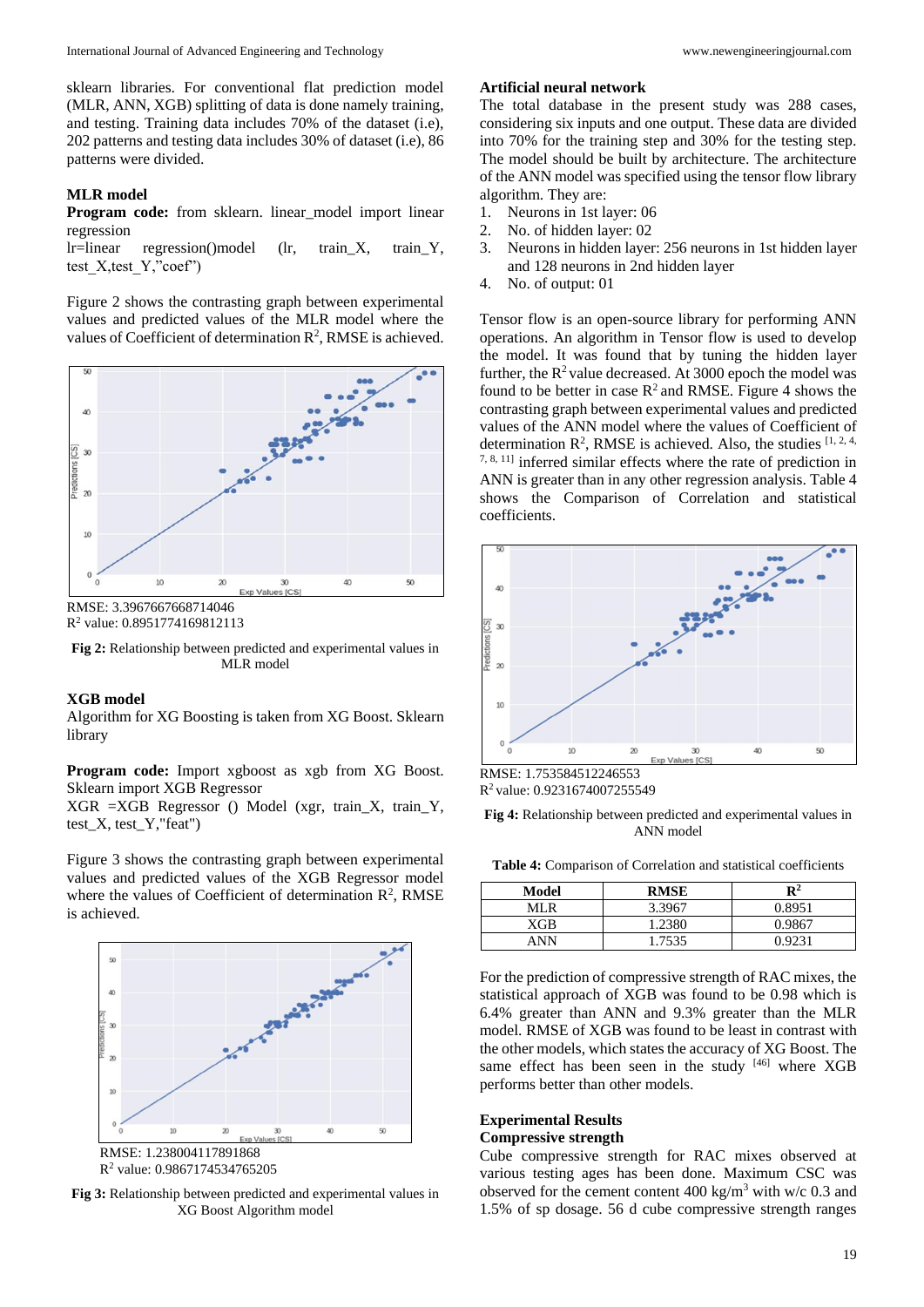sklearn libraries. For conventional flat prediction model (MLR, ANN, XGB) splitting of data is done namely training, and testing. Training data includes 70% of the dataset (i.e), 202 patterns and testing data includes 30% of dataset (i.e), 86 patterns were divided.

### **MLR model**

**Program code:** from sklearn. linear\_model import linear regression

lr=linear regression()model (lr, train\_X, train\_Y, test\_X,test\_Y,"coef")

Figure 2 shows the contrasting graph between experimental values and predicted values of the MLR model where the values of Coefficient of determination  $\mathbb{R}^2$ , RMSE is achieved.



R<sup>2</sup> value: 0.8951774169812113

**Fig 2:** Relationship between predicted and experimental values in MLR model

#### **XGB model**

Algorithm for XG Boosting is taken from XG Boost. Sklearn library

**Program code:** Import xgboost as xgb from XG Boost. Sklearn import XGB Regressor

XGR =XGB Regressor () Model (xgr, train\_X, train\_Y, test\_X, test\_Y,"feat")

Figure 3 shows the contrasting graph between experimental values and predicted values of the XGB Regressor model where the values of Coefficient of determination  $\mathbb{R}^2$ , RMSE is achieved.



**Fig 3:** Relationship between predicted and experimental values in XG Boost Algorithm model

#### **Artificial neural network**

The total database in the present study was 288 cases, considering six inputs and one output. These data are divided into 70% for the training step and 30% for the testing step. The model should be built by architecture. The architecture of the ANN model was specified using the tensor flow library algorithm. They are:

- 1. Neurons in 1st layer: 06
- 2. No. of hidden layer: 02
- 3. Neurons in hidden layer: 256 neurons in 1st hidden layer and 128 neurons in 2nd hidden layer
- 4. No. of output: 01

Tensor flow is an open-source library for performing ANN operations. An algorithm in Tensor flow is used to develop the model. It was found that by tuning the hidden layer further, the  $R^2$  value decreased. At 3000 epoch the model was found to be better in case  $R^2$  and RMSE. Figure 4 shows the contrasting graph between experimental values and predicted values of the ANN model where the values of Coefficient of determination  $\mathbb{R}^2$ , RMSE is achieved. Also, the studies  $[1, 2, 4, 4]$ 7, 8, 11] inferred similar effects where the rate of prediction in ANN is greater than in any other regression analysis. Table 4 shows the Comparison of Correlation and statistical coefficients.



R<sup>2</sup>value: 0.9231674007255549

**Fig 4:** Relationship between predicted and experimental values in ANN model

**Table 4:** Comparison of Correlation and statistical coefficients

| Model | <b>RMSE</b> | $\mathbf{R}^2$ |
|-------|-------------|----------------|
| MI R  | 3.3967      | 0.8951         |
| XGB   | 1.2380      | 0.9867         |
| ANN   | 1.7535      | 0.9231         |

For the prediction of compressive strength of RAC mixes, the statistical approach of XGB was found to be 0.98 which is 6.4% greater than ANN and 9.3% greater than the MLR model. RMSE of XGB was found to be least in contrast with the other models, which states the accuracy of XG Boost. The same effect has been seen in the study [46] where XGB performs better than other models.

### **Experimental Results**

## **Compressive strength**

Cube compressive strength for RAC mixes observed at various testing ages has been done. Maximum CSC was observed for the cement content  $400 \text{ kg/m}^3$  with w/c 0.3 and 1.5% of sp dosage. 56 d cube compressive strength ranges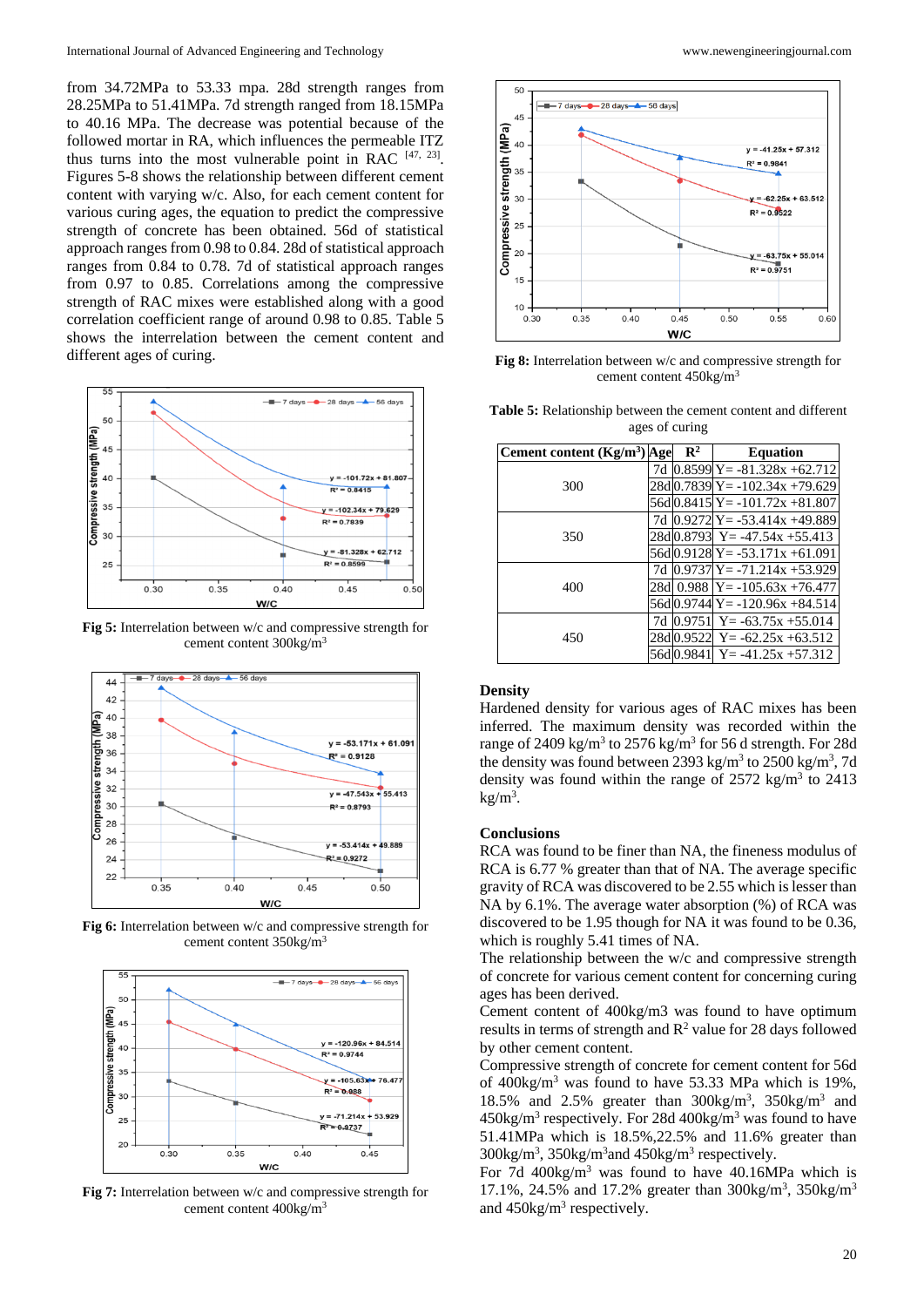from 34.72MPa to 53.33 mpa. 28d strength ranges from 28.25MPa to 51.41MPa. 7d strength ranged from 18.15MPa to 40.16 MPa. The decrease was potential because of the followed mortar in RA, which influences the permeable ITZ thus turns into the most vulnerable point in RAC  $[47, 23]$ . Figures 5-8 shows the relationship between different cement content with varying w/c. Also, for each cement content for various curing ages, the equation to predict the compressive strength of concrete has been obtained. 56d of statistical approach ranges from 0.98 to 0.84. 28d of statistical approach ranges from 0.84 to 0.78. 7d of statistical approach ranges from 0.97 to 0.85. Correlations among the compressive strength of RAC mixes were established along with a good correlation coefficient range of around 0.98 to 0.85. Table 5 shows the interrelation between the cement content and different ages of curing.



**Fig 5:** Interrelation between w/c and compressive strength for cement content 300kg/m<sup>3</sup>



**Fig 6:** Interrelation between w/c and compressive strength for cement content 350kg/m<sup>3</sup>



**Fig 7:** Interrelation between w/c and compressive strength for cement content 400kg/m<sup>3</sup>



**Fig 8:** Interrelation between w/c and compressive strength for cement content 450kg/m<sup>3</sup>

| Table 5: Relationship between the cement content and different |                |  |
|----------------------------------------------------------------|----------------|--|
|                                                                | ages of curing |  |

| Cement content $(Kg/m3)$ Age |     | $\mathbf{R}^2$ | <b>Equation</b>                        |
|------------------------------|-----|----------------|----------------------------------------|
|                              | 7d  |                | $0.8599$ $Y = -81.328x + 62.712$       |
| 300                          |     |                | 28dl0.7839lY= -102.34x +79.629         |
|                              |     |                | $56d[0.8415]Y = -101.72x + 81.807$     |
|                              |     |                | 7d $[0.9272]Y = -53.414x + 49.889$     |
| 350                          |     |                | 28dl0.8793 Y= -47.54x +55.413          |
|                              |     |                | $56d[0.9128]Y = -53.171x + 61.091$     |
|                              | 7d  |                | $0.9737$ $Y = -71.214x + 53.929$       |
| 400                          | 28d |                | $0.988 \text{ ly} = -105.63x + 76.477$ |
|                              |     |                | $56d[0.9744]Y = -120.96x + 84.514$     |
|                              | 7d  | 0.9751         | $Y = -63.75x + 55.014$                 |
| 450                          |     | 28dl0.9522     | $Y = -62.25x + 63.512$                 |
|                              |     | 56d 0.9841     | $Y = -41.25x + 57.312$                 |

#### **Density**

Hardened density for various ages of RAC mixes has been inferred. The maximum density was recorded within the range of 2409 kg/m<sup>3</sup> to 2576 kg/m<sup>3</sup> for 56 d strength. For 28d the density was found between  $2393 \text{ kg/m}^3$  to  $2500 \text{ kg/m}^3$ , 7d density was found within the range of  $2572 \text{ kg/m}^3$  to  $2413$  $kg/m<sup>3</sup>$ .

#### **Conclusions**

RCA was found to be finer than NA, the fineness modulus of RCA is 6.77 % greater than that of NA. The average specific gravity of RCA was discovered to be 2.55 which is lesser than NA by 6.1%. The average water absorption (%) of RCA was discovered to be 1.95 though for NA it was found to be 0.36, which is roughly 5.41 times of NA.

The relationship between the w/c and compressive strength of concrete for various cement content for concerning curing ages has been derived.

Cement content of 400kg/m3 was found to have optimum results in terms of strength and  $R^2$  value for 28 days followed by other cement content.

Compressive strength of concrete for cement content for 56d of  $400\text{kg/m}^3$  was found to have 53.33 MPa which is 19%, 18.5% and 2.5% greater than  $300\text{kg/m}^3$ ,  $350\text{kg/m}^3$  and  $450\text{kg/m}^3$  respectively. For 28d  $400\text{kg/m}^3$  was found to have 51.41MPa which is 18.5%,22.5% and 11.6% greater than 300kg/m<sup>3</sup>, 350kg/m<sup>3</sup> and 450kg/m<sup>3</sup> respectively.

For 7d  $400\text{kg/m}^3$  was found to have  $40.16\text{MPa}$  which is 17.1%, 24.5% and 17.2% greater than 300kg/m<sup>3</sup>, 350kg/m<sup>3</sup> and  $450$ kg/m<sup>3</sup> respectively.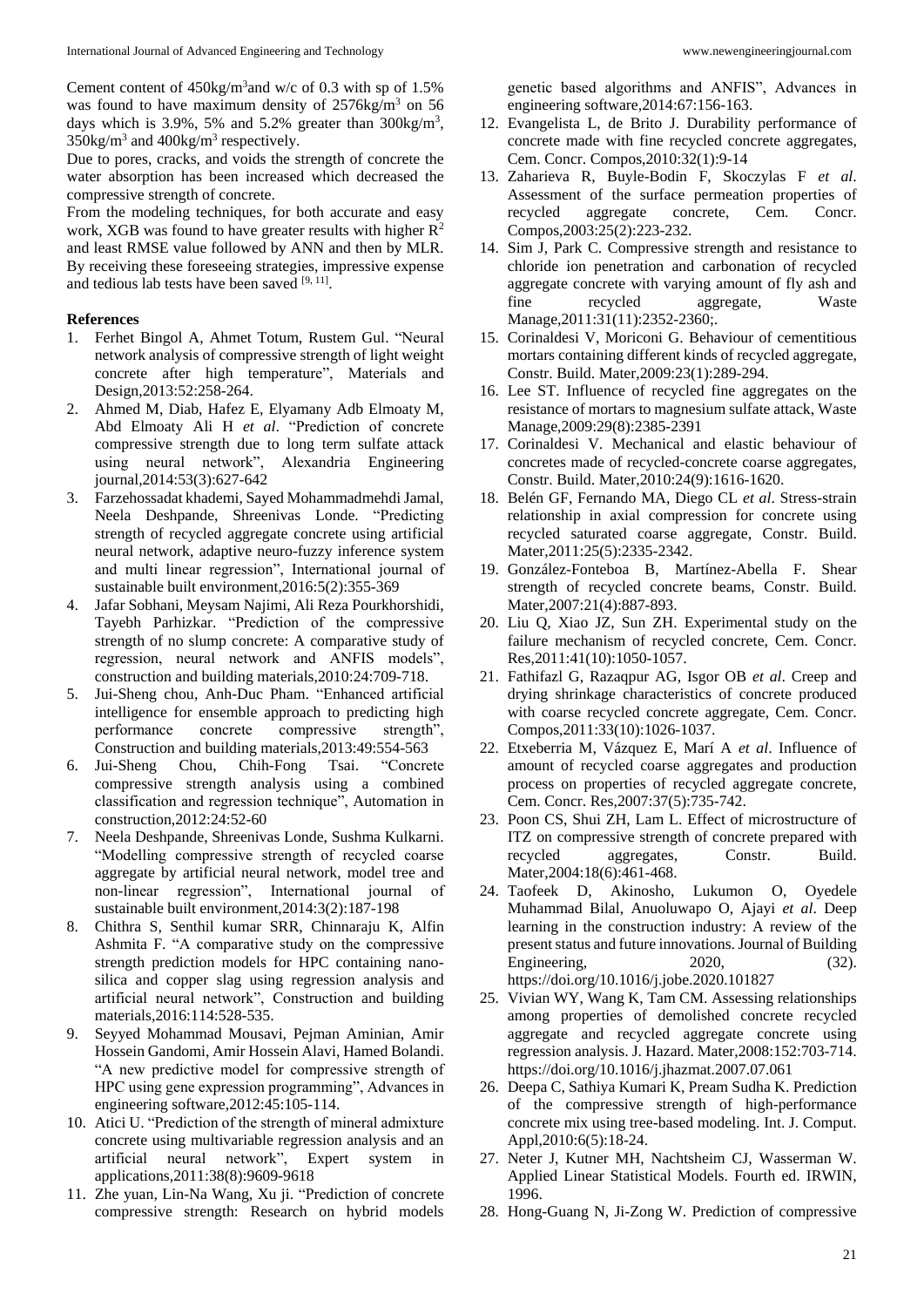Due to pores, cracks, and voids the strength of concrete the water absorption has been increased which decreased the compressive strength of concrete.

From the modeling techniques, for both accurate and easy work, XGB was found to have greater results with higher  $\mathbb{R}^2$ and least RMSE value followed by ANN and then by MLR. By receiving these foreseeing strategies, impressive expense and tedious lab tests have been saved [9, 11].

### **References**

- 1. Ferhet Bingol A, Ahmet Totum, Rustem Gul. "Neural network analysis of compressive strength of light weight concrete after high temperature", Materials and Design,2013:52:258-264.
- 2. Ahmed M, Diab, Hafez E, Elyamany Adb Elmoaty M, Abd Elmoaty Ali H *et al*. "Prediction of concrete compressive strength due to long term sulfate attack using neural network", Alexandria Engineering journal,2014:53(3):627-642
- 3. Farzehossadat khademi, Sayed Mohammadmehdi Jamal, Neela Deshpande, Shreenivas Londe. "Predicting strength of recycled aggregate concrete using artificial neural network, adaptive neuro-fuzzy inference system and multi linear regression", International journal of sustainable built environment,2016:5(2):355-369
- 4. Jafar Sobhani, Meysam Najimi, Ali Reza Pourkhorshidi, Tayebh Parhizkar. "Prediction of the compressive strength of no slump concrete: A comparative study of regression, neural network and ANFIS models", construction and building materials,2010:24:709-718.
- 5. Jui-Sheng chou, Anh-Duc Pham. "Enhanced artificial intelligence for ensemble approach to predicting high performance concrete compressive strength", Construction and building materials,2013:49:554-563
- 6. Jui-Sheng Chou, Chih-Fong Tsai. "Concrete compressive strength analysis using a combined classification and regression technique", Automation in construction,2012:24:52-60
- 7. Neela Deshpande, Shreenivas Londe, Sushma Kulkarni. "Modelling compressive strength of recycled coarse aggregate by artificial neural network, model tree and non-linear regression", International journal of sustainable built environment,2014:3(2):187-198
- 8. Chithra S, Senthil kumar SRR, Chinnaraju K, Alfin Ashmita F. "A comparative study on the compressive strength prediction models for HPC containing nanosilica and copper slag using regression analysis and artificial neural network", Construction and building materials,2016:114:528-535.
- 9. Seyyed Mohammad Mousavi, Pejman Aminian, Amir Hossein Gandomi, Amir Hossein Alavi, Hamed Bolandi. "A new predictive model for compressive strength of HPC using gene expression programming", Advances in engineering software,2012:45:105-114.
- 10. Atici U. "Prediction of the strength of mineral admixture concrete using multivariable regression analysis and an artificial neural network", Expert system in applications,2011:38(8):9609-9618
- 11. Zhe yuan, Lin-Na Wang, Xu ji. "Prediction of concrete compressive strength: Research on hybrid models

genetic based algorithms and ANFIS", Advances in engineering software,2014:67:156-163.

- 12. Evangelista L, de Brito J. Durability performance of concrete made with fine recycled concrete aggregates, Cem. Concr. Compos,2010:32(1):9-14
- 13. Zaharieva R, Buyle-Bodin F, Skoczylas F *et al*. Assessment of the surface permeation properties of recycled aggregate concrete, Cem. Concr. Compos,2003:25(2):223-232.
- 14. Sim J, Park C. Compressive strength and resistance to chloride ion penetration and carbonation of recycled aggregate concrete with varying amount of fly ash and fine recycled aggregate, Waste Manage, 2011:31(11): 2352-2360;
- 15. Corinaldesi V, Moriconi G. Behaviour of cementitious mortars containing different kinds of recycled aggregate, Constr. Build. Mater,2009:23(1):289-294.
- 16. Lee ST. Influence of recycled fine aggregates on the resistance of mortars to magnesium sulfate attack, Waste Manage,2009:29(8):2385-2391
- 17. Corinaldesi V. Mechanical and elastic behaviour of concretes made of recycled-concrete coarse aggregates, Constr. Build. Mater,2010:24(9):1616-1620.
- 18. Belén GF, Fernando MA, Diego CL *et al*. Stress-strain relationship in axial compression for concrete using recycled saturated coarse aggregate, Constr. Build. Mater,2011:25(5):2335-2342.
- 19. González-Fonteboa B, Martínez-Abella F. Shear strength of recycled concrete beams, Constr. Build. Mater, 2007: 21(4): 887-893.
- 20. Liu Q, Xiao JZ, Sun ZH. Experimental study on the failure mechanism of recycled concrete, Cem. Concr. Res,2011:41(10):1050-1057.
- 21. Fathifazl G, Razaqpur AG, Isgor OB *et al*. Creep and drying shrinkage characteristics of concrete produced with coarse recycled concrete aggregate, Cem. Concr. Compos,2011:33(10):1026-1037.
- 22. Etxeberria M, Vázquez E, Marí A *et al*. Influence of amount of recycled coarse aggregates and production process on properties of recycled aggregate concrete, Cem. Concr. Res,2007:37(5):735-742.
- 23. Poon CS, Shui ZH, Lam L. Effect of microstructure of ITZ on compressive strength of concrete prepared with recycled aggregates, Constr. Build. Mater,2004:18(6):461-468.
- 24. Taofeek D, Akinosho, Lukumon O, Oyedele Muhammad Bilal, Anuoluwapo O, Ajayi *et al*. Deep learning in the construction industry: A review of the present status and future innovations. Journal of Building Engineering, 2020, (32). https://doi.org/10.1016/j.jobe.2020.101827
- 25. Vivian WY, Wang K, Tam CM. Assessing relationships among properties of demolished concrete recycled aggregate and recycled aggregate concrete using regression analysis. J. Hazard. Mater,2008:152:703-714. https://doi.org/10.1016/j.jhazmat.2007.07.061
- 26. Deepa C, Sathiya Kumari K, Pream Sudha K. Prediction of the compressive strength of high-performance concrete mix using tree-based modeling. Int. J. Comput. Appl,2010:6(5):18-24.
- 27. Neter J, Kutner MH, Nachtsheim CJ, Wasserman W. Applied Linear Statistical Models. Fourth ed. IRWIN, 1996.
- 28. Hong-Guang N, Ji-Zong W. Prediction of compressive